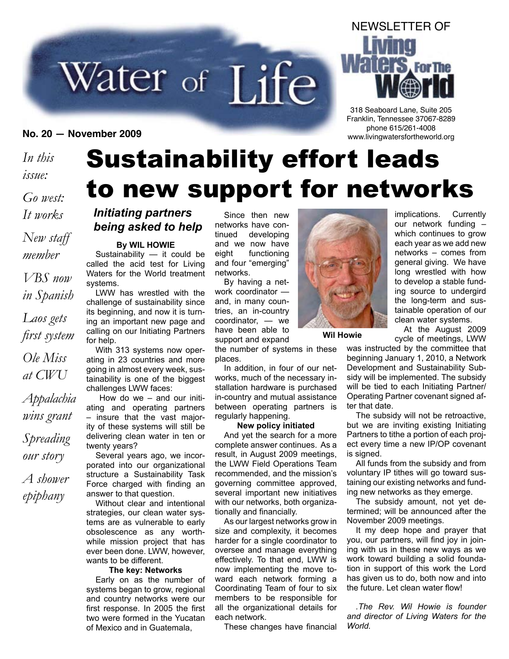# Water of Life

### *In this issue: Go west:*

*It works New staff member VBS now in Spanish Laos gets first system Ole Miss at CWU Appalachia wins grant Spreading our story*

*A shower epiphany*

## Sustainability effort leads to new support for networks

#### *Initiating partners being asked to help*

#### **By WIL HOWIE**

Sustainability — it could be called the acid test for Living Waters for the World treatment systems.

LWW has wrestled with the challenge of sustainability since its beginning, and now it is turning an important new page and calling on our Initiating Partners for help.

With 313 systems now operating in 23 countries and more going in almost every week, sustainability is one of the biggest challenges LWW faces:

 How do we – and our initiating and operating partners – insure that the vast majority of these systems will still be delivering clean water in ten or twenty years?

Several years ago, we incorporated into our organizational structure a Sustainability Task Force charged with finding an answer to that question.

Without clear and intentional strategies, our clean water systems are as vulnerable to early obsolescence as any worthwhile mission project that has ever been done. LWW, however, wants to be different.

#### **The key: Networks**

Early on as the number of systems began to grow, regional and country networks were our first response. In 2005 the first two were formed in the Yucatan of Mexico and in Guatemala,

Since then new networks have continued developing and we now have eight functioning and four "emerging" networks.

By having a network coordinator and, in many countries, an in-country coordinator, — we have been able to support and expand

the number of systems in these places.

In addition, in four of our networks, much of the necessary installation hardware is purchased in-country and mutual assistance between operating partners is regularly happening.

#### **New policy initiated**

And yet the search for a more complete answer continues. As a result, in August 2009 meetings, the LWW Field Operations Team recommended, and the mission's governing committee approved, several important new initiatives with our networks, both organizationally and financially.

As our largest networks grow in size and complexity, it becomes harder for a single coordinator to oversee and manage everything effectively. To that end, LWW is now implementing the move toward each network forming a Coordinating Team of four to six members to be responsible for all the organizational details for each network.

These changes have financial



**Wil Howie**

At the August 2009 cycle of meetings, LWW

was instructed by the committee that beginning January 1, 2010, a Network Development and Sustainability Subsidy will be implemented. The subsidy will be tied to each Initiating Partner/ Operating Partner covenant signed after that date.

The subsidy will not be retroactive, but we are inviting existing Initiating Partners to tithe a portion of each project every time a new IP/OP covenant is signed.

All funds from the subsidy and from voluntary IP tithes will go toward sustaining our existing networks and funding new networks as they emerge.

The subsidy amount, not yet determined; will be announced after the November 2009 meetings.

It my deep hope and prayer that you, our partners, will find joy in joining with us in these new ways as we work toward building a solid foundation in support of this work the Lord has given us to do, both now and into the future. Let clean water flow!

*.The Rev. Wil Howie is founder and director of Living Waters for the World.*

## **For The** 318 Seaboard Lane, Suite 205

Franklin, Tennessee 37067-8289 phone 615/261-4008 **No. 20 — November 2009** www.livingwatersfortheworld.org

NEWSLETTER OF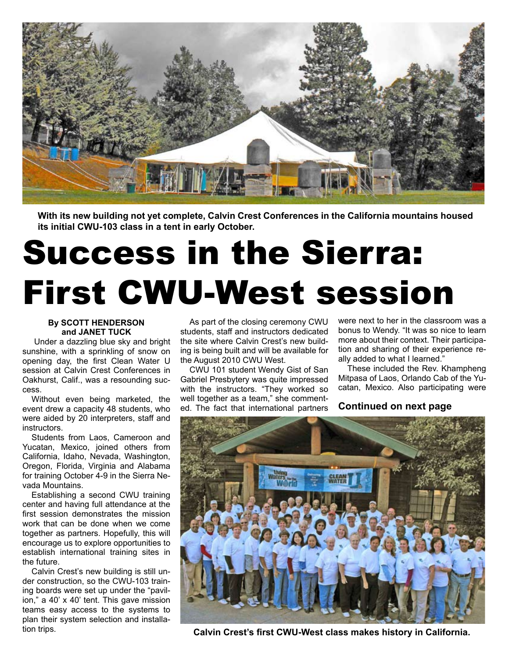

**With its new building not yet complete, Calvin Crest Conferences in the California mountains housed its initial CWU-103 class in a tent in early October.**

## Success in the Sierra: First CWU-West session

#### **By SCOTT HENDERSON and JANET TUCK**

 Under a dazzling blue sky and bright sunshine, with a sprinkling of snow on opening day, the first Clean Water U session at Calvin Crest Conferences in Oakhurst, Calif., was a resounding success.

Without even being marketed, the event drew a capacity 48 students, who were aided by 20 interpreters, staff and **instructors** 

Students from Laos, Cameroon and Yucatan, Mexico, joined others from California, Idaho, Nevada, Washington, Oregon, Florida, Virginia and Alabama for training October 4-9 in the Sierra Nevada Mountains.

Establishing a second CWU training center and having full attendance at the first session demonstrates the mission work that can be done when we come together as partners. Hopefully, this will encourage us to explore opportunities to establish international training sites in the future.

Calvin Crest's new building is still under construction, so the CWU-103 training boards were set up under the "pavilion," a 40' x 40' tent. This gave mission teams easy access to the systems to plan their system selection and installation trips.

As part of the closing ceremony CWU students, staff and instructors dedicated the site where Calvin Crest's new building is being built and will be available for the August 2010 CWU West.

CWU 101 student Wendy Gist of San Gabriel Presbytery was quite impressed with the instructors. "They worked so well together as a team," she commented. The fact that international partners

were next to her in the classroom was a bonus to Wendy. "It was so nice to learn more about their context. Their participation and sharing of their experience really added to what I learned."

These included the Rev. Khampheng Mitpasa of Laos, Orlando Cab of the Yucatan, Mexico. Also participating were

#### **Continued on next page**



**Calvin Crest's first CWU-West class makes history in California.**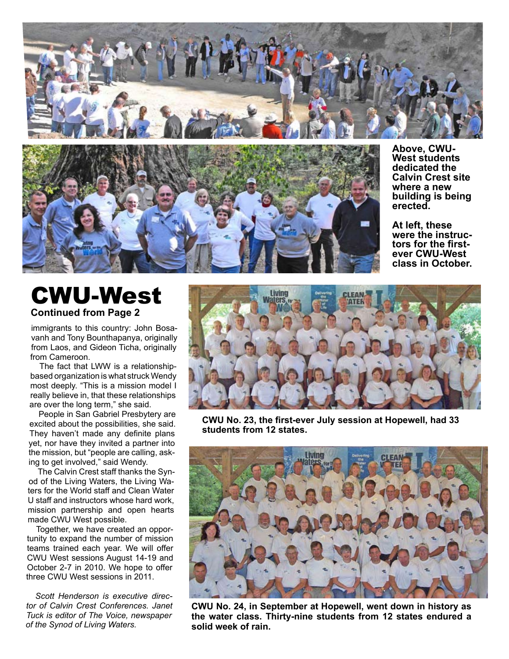



**Above, CWU-West students dedicated the Calvin Crest site where a new building is being erected.**

**At left, these**  tors for the first**ever CWU-West class in October.**

### CWU-West **Continued from Page 2**

immigrants to this country: John Bosavanh and Tony Bounthapanya, originally from Laos, and Gideon Ticha, originally from Cameroon.

The fact that LWW is a relationshipbased organization is what struck Wendy most deeply. "This is a mission model I really believe in, that these relationships are over the long term," she said.

People in San Gabriel Presbytery are excited about the possibilities, she said. They haven't made any definite plans yet, nor have they invited a partner into the mission, but "people are calling, asking to get involved," said Wendy.

The Calvin Crest staff thanks the Synod of the Living Waters, the Living Waters for the World staff and Clean Water U staff and instructors whose hard work, mission partnership and open hearts made CWU West possible.

Together, we have created an opportunity to expand the number of mission teams trained each year. We will offer CWU West sessions August 14-19 and October 2-7 in 2010. We hope to offer three CWU West sessions in 2011.

*Scott Henderson is executive director of Calvin Crest Conferences. Janet Tuck is editor of The Voice, newspaper of the Synod of Living Waters.*



**CWU No. 23, the first-ever July session at Hopewell, had 33 students from 12 states.**



**CWU No. 24, in September at Hopewell, went down in history as the water class. Thirty-nine students from 12 states endured a solid week of rain.**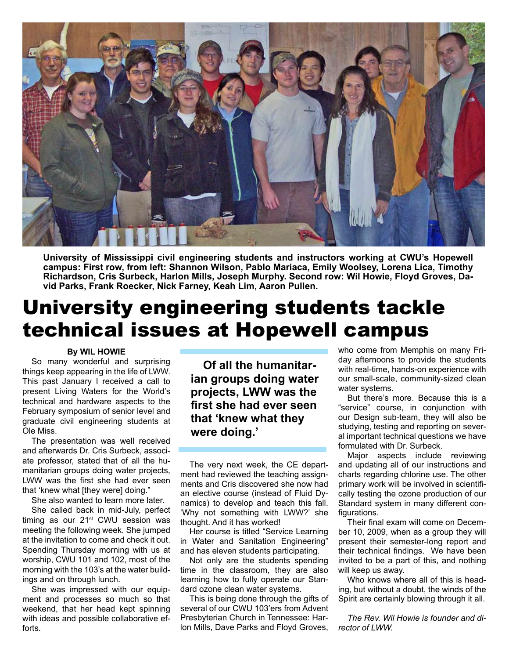

**University of Mississippi civil engineering students and instructors working at CWU's Hopewell campus: First row, from left: Shannon Wilson, Pablo Mariaca, Emily Woolsey, Lorena Lica, Timothy Richardson, Cris Surbeck, Harlon Mills, Joseph Murphy. Second row: Wil Howie, Floyd Groves, David Parks, Frank Roecker, Nick Farney, Keah Lim, Aaron Pullen.**

## University engineering students tackle technical issues at Hopewell campus

#### **By WIL HOWIE**

So many wonderful and surprising things keep appearing in the life of LWW. This past January I received a call to present Living Waters for the World's technical and hardware aspects to the February symposium of senior level and graduate civil engineering students at Ole Miss.

The presentation was well received and afterwards Dr. Cris Surbeck, associate professor, stated that of all the humanitarian groups doing water projects, LWW was the first she had ever seen that 'knew what [they were] doing."

She also wanted to learn more later.

She called back in mid-July, perfect timing as our  $21<sup>st</sup>$  CWU session was meeting the following week. She jumped at the invitation to come and check it out. Spending Thursday morning with us at worship, CWU 101 and 102, most of the morning with the 103's at the water buildings and on through lunch.

She was impressed with our equipment and processes so much so that weekend, that her head kept spinning with ideas and possible collaborative efforts.

 **Of all the humanitarian groups doing water projects, LWW was the first she had ever seen that 'knew what they were doing.'**

The very next week, the CE department had reviewed the teaching assignments and Cris discovered she now had an elective course (instead of Fluid Dynamics) to develop and teach this fall. 'Why not something with LWW?' she thought. And it has worked!

Her course is titled "Service Learning in Water and Sanitation Engineering" and has eleven students participating.

Not only are the students spending time in the classroom, they are also learning how to fully operate our Standard ozone clean water systems.

This is being done through the gifts of several of our CWU 103'ers from Advent Presbyterian Church in Tennessee: Harlon Mills, Dave Parks and Floyd Groves, who come from Memphis on many Friday afternoons to provide the students with real-time, hands-on experience with our small-scale, community-sized clean water systems.

But there's more. Because this is a "service" course, in conjunction with our Design sub-team, they will also be studying, testing and reporting on several important technical questions we have formulated with Dr. Surbeck.

Major aspects include reviewing and updating all of our instructions and charts regarding chlorine use. The other primary work will be involved in scientifically testing the ozone production of our Standard system in many different configurations.

Their final exam will come on December 10, 2009, when as a group they will present their semester-long report and their technical findings. We have been invited to be a part of this, and nothing will keep us away.

Who knows where all of this is heading, but without a doubt, the winds of the Spirit are certainly blowing through it all.

*The Rev. Wil Howie is founder and director of LWW.*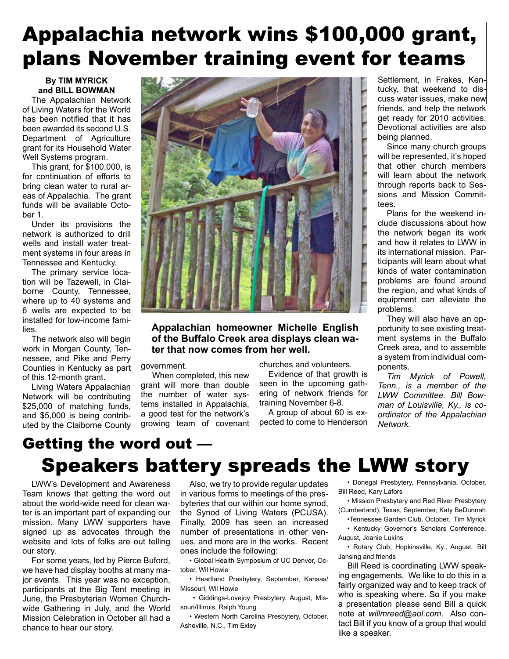## Appalachia network wins \$100,000 grant, plans November training event for teams

#### **By TIM MYRICK and BILL BOWMAN**

The Appalachian Network of Living Waters for the World has been notified that it has been awarded its second U.S. Department of Agriculture grant for its Household Water Well Systems program.

This grant, for \$100,000, is for continuation of efforts to bring clean water to rural areas of Appalachia. The grant funds will be available October 1.

Under its provisions the network is authorized to drill wells and install water treatment systems in four areas in Tennessee and Kentucky.

The primary service location will be Tazewell, in Claiborne County, Tennessee, where up to 40 systems and 6 wells are expected to be installed for low-income families.

The network also will begin work in Morgan County, Tennessee, and Pike and Perry Counties in Kentucky as part of this 12-month grant.

Living Waters Appalachian Network will be contributing \$25,000 of matching funds, and \$5,000 is being contributed by the Claiborne County



#### **Appalachian homeowner Michelle English of the Buffalo Creek area displays clean water that now comes from her well.**

government.

When completed, this new grant will more than double the number of water systems installed in Appalachia, a good test for the network's growing team of covenant churches and volunteers.

Evidence of that growth is seen in the upcoming gathering of network friends for training November 6-8.

A group of about 60 is expected to come to Henderson

Settlement, in Frakes, Kentucky, that weekend to discuss water issues, make new friends, and help the network get ready for 2010 activities. Devotional activities are also being planned.

Since many church groups will be represented, it's hoped that other church members will learn about the network through reports back to Sessions and Mission Committees.

Plans for the weekend include discussions about how the network began its work and how it relates to LWW in its international mission. Participants will learn about what kinds of water contamination problems are found around the region, and what kinds of equipment can alleviate the problems.

They will also have an opportunity to see existing treatment systems in the Buffalo Creek area, and to assemble a system from individual components.

*Tim Myrick of Powell, Tenn., is a member of the LWW Committee. Bill Bowman of Louisville, Ky., is coordinator of the Appalachian Network.*

### Getting the word out — Speakers battery spreads the LWW story

LWW's Development and Awareness Team knows that getting the word out about the world-wide need for clean water is an important part of expanding our mission. Many LWW supporters have signed up as advocates through the website and lots of folks are out telling our story.

For some years, led by Pierce Buford, we have had display booths at many major events. This year was no exception, participants at the Big Tent meeting in June, the Presbyterian Women Churchwide Gathering in July, and the World Mission Celebration in October all had a chance to hear our story.

Also, we try to provide regular updates in various forms to meetings of the presbyteries that our within our home synod, the Synod of Living Waters (PCUSA). Finally, 2009 has seen an increased number of presentations in other venues, and more are in the works. Recent ones include the following:

• Global Health Symposium of UC Denver, October, Wil Howie

• Heartland Presbytery, September, Kansas/ Missouri, Wil Howie

 • Giddings-Lovejoy Presbytery. August, Missouri/Illinois, Ralph Young

• Western North Carolina Presbytery, October, Asheville, N.C., Tim Exley

• Donegal Presbytery, Pennsylvania, October, Bill Reed, Kary Lafors

• Mission Presbytery and Red River Presbytery (Cumberland), Texas, September, Katy BeDunnah

•Tennessee Garden Club, October, Tim Myrick • Kentucky Governor's Scholars Conference, August, Joanie Lukins

• Rotary Club, Hopkinsville, Ky., August, Bill Jansing and friends

Bill Reed is coordinating LWW speaking engagements. We like to do this in a fairly organized way and to keep track of who is speaking where. So if you make a presentation please send Bill a quick note at *willmreed@aol.com*. Also contact Bill if you know of a group that would like a speaker.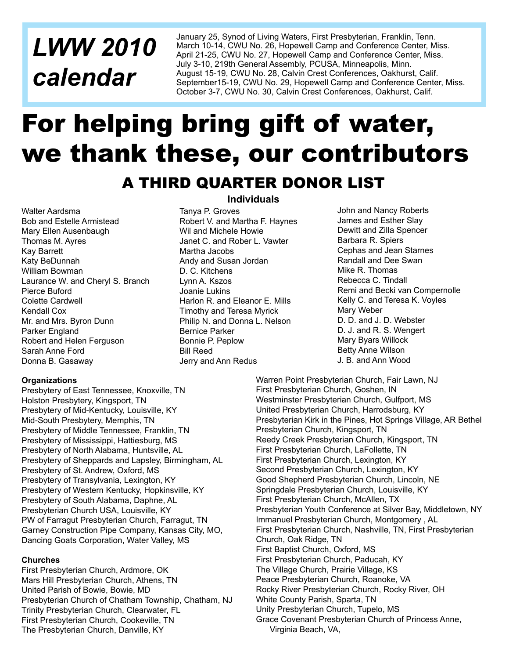## *LWW 2010 calendar*

January 25, Synod of Living Waters, First Presbyterian, Franklin, Tenn. March 10-14, CWU No. 26, Hopewell Camp and Conference Center, Miss. April 21-25, CWU No. 27, Hopewell Camp and Conference Center, Miss. July 3-10, 219th General Assembly, PCUSA, Minneapolis, Minn. August 15-19, CWU No. 28, Calvin Crest Conferences, Oakhurst, Calif. September15-19, CWU No. 29, Hopewell Camp and Conference Center, Miss. October 3-7, CWU No. 30, Calvin Crest Conferences, Oakhurst, Calif.

## For helping bring gift of water, we thank these, our contributors

### A THIRD QUARTER DONOR LIST

Walter Aardsma Bob and Estelle Armistead Mary Ellen Ausenbaugh Thomas M. Ayres Kay Barrett Katy BeDunnah William Bowman Laurance W. and Cheryl S. Branch Pierce Buford Colette Cardwell Kendall Cox Mr. and Mrs. Byron Dunn Parker England Robert and Helen Ferguson Sarah Anne Ford Donna B. Gasaway

#### **Individuals**

Tanya P. Groves Robert V. and Martha F. Haynes Wil and Michele Howie Janet C. and Rober L. Vawter Martha Jacobs Andy and Susan Jordan D. C. Kitchens Lynn A. Kszos Joanie Lukins Harlon R. and Eleanor E. Mills Timothy and Teresa Myrick Philip N. and Donna L. Nelson Bernice Parker Bonnie P. Peplow Bill Reed Jerry and Ann Redus

John and Nancy Roberts James and Esther Slay Dewitt and Zilla Spencer Barbara R. Spiers Cephas and Jean Starnes Randall and Dee Swan Mike R. Thomas Rebecca C. Tindall Remi and Becki van Compernolle Kelly C. and Teresa K. Voyles Mary Weber D. D. and J. D. Webster D. J. and R. S. Wengert Mary Byars Willock Betty Anne Wilson J. B. and Ann Wood

#### **Organizations**

Presbytery of East Tennessee, Knoxville, TN Holston Presbytery, Kingsport, TN Presbytery of Mid-Kentucky, Louisville, KY Mid-South Presbytery, Memphis, TN Presbytery of Middle Tennessee, Franklin, TN Presbytery of Mississippi, Hattiesburg, MS Presbytery of North Alabama, Huntsville, AL Presbytery of Sheppards and Lapsley, Birmingham, AL Presbytery of St. Andrew, Oxford, MS Presbytery of Transylvania, Lexington, KY Presbytery of Western Kentucky, Hopkinsville, KY Presbytery of South Alabama, Daphne, AL Presbyterian Church USA, Louisville, KY PW of Farragut Presbyterian Church, Farragut, TN Garney Construction Pipe Company, Kansas City, MO, Dancing Goats Corporation, Water Valley, MS

#### **Churches**

First Presbyterian Church, Ardmore, OK Mars Hill Presbyterian Church, Athens, TN United Parish of Bowie, Bowie, MD Presbyterian Church of Chatham Township, Chatham, NJ Trinity Presbyterian Church, Clearwater, FL First Presbyterian Church, Cookeville, TN The Presbyterian Church, Danville, KY

Warren Point Presbyterian Church, Fair Lawn, NJ First Presbyterian Church, Goshen, IN Westminster Presbyterian Church, Gulfport, MS United Presbyterian Church, Harrodsburg, KY Presbyterian Kirk in the Pines, Hot Springs Village, AR Bethel Presbyterian Church, Kingsport, TN Reedy Creek Presbyterian Church, Kingsport, TN First Presbyterian Church, LaFollette, TN First Presbyterian Church, Lexington, KY Second Presbyterian Church, Lexington, KY Good Shepherd Presbyterian Church, Lincoln, NE Springdale Presbyterian Church, Louisville, KY First Presbyterian Church, McAllen, TX Presbyterian Youth Conference at Silver Bay, Middletown, NY Immanuel Presbyterian Church, Montgomery , AL First Presbyterian Church, Nashville, TN, First Presbyterian Church, Oak Ridge, TN First Baptist Church, Oxford, MS First Presbyterian Church, Paducah, KY The Village Church, Prairie Village, KS Peace Presbyterian Church, Roanoke, VA Rocky River Presbyterian Church, Rocky River, OH White County Parish, Sparta, TN Unity Presbyterian Church, Tupelo, MS Grace Covenant Presbyterian Church of Princess Anne, Virginia Beach, VA,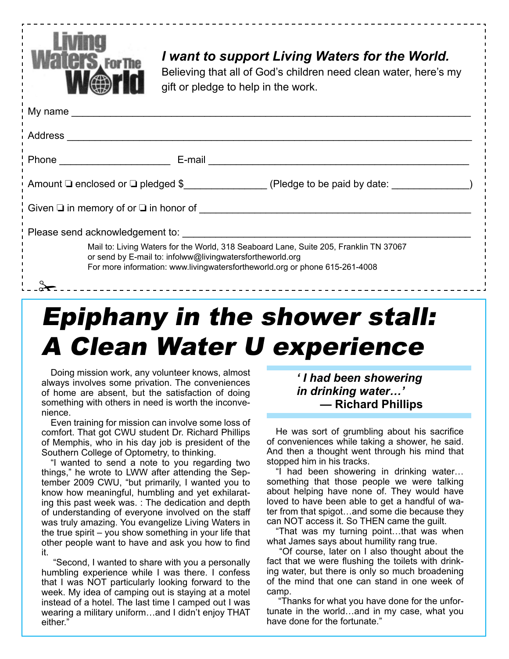

### *I want to support Living Waters for the World.*

Believing that all of God's children need clean water, here's my gift or pledge to help in the work.

|                                                                                                                                                                                                                                   | My name that the contract of the contract of the contract of the contract of the contract of the contract of the contract of the contract of the contract of the contract of the contract of the contract of the contract of t |                                         |  |
|-----------------------------------------------------------------------------------------------------------------------------------------------------------------------------------------------------------------------------------|--------------------------------------------------------------------------------------------------------------------------------------------------------------------------------------------------------------------------------|-----------------------------------------|--|
| Address                                                                                                                                                                                                                           |                                                                                                                                                                                                                                |                                         |  |
|                                                                                                                                                                                                                                   |                                                                                                                                                                                                                                | E-mail <u>_________________________</u> |  |
| Amount $\Box$ enclosed or $\Box$ pledged \$ (Pledge to be paid by date:                                                                                                                                                           |                                                                                                                                                                                                                                |                                         |  |
|                                                                                                                                                                                                                                   |                                                                                                                                                                                                                                |                                         |  |
|                                                                                                                                                                                                                                   |                                                                                                                                                                                                                                |                                         |  |
| Mail to: Living Waters for the World, 318 Seaboard Lane, Suite 205, Franklin TN 37067<br>or send by E-mail to: infolww@livingwatersfortheworld.org<br>For more information: www.livingwatersfortheworld.org or phone 615-261-4008 |                                                                                                                                                                                                                                |                                         |  |
|                                                                                                                                                                                                                                   |                                                                                                                                                                                                                                |                                         |  |

## Epiphany in the shower stall: A Clean Water U experience

Doing mission work, any volunteer knows, almost always involves some privation. The conveniences of home are absent, but the satisfaction of doing something with others in need is worth the inconvenience.

Even training for mission can involve some loss of comfort. That got CWU student Dr. Richard Phillips of Memphis, who in his day job is president of the Southern College of Optometry, to thinking.

"I wanted to send a note to you regarding two things," he wrote to LWW after attending the September 2009 CWU, "but primarily, I wanted you to know how meaningful, humbling and yet exhilarating this past week was. : The dedication and depth of understanding of everyone involved on the staff was truly amazing. You evangelize Living Waters in the true spirit – you show something in your life that other people want to have and ask you how to find it.

 "Second, I wanted to share with you a personally humbling experience while I was there. I confess that I was NOT particularly looking forward to the week. My idea of camping out is staying at a motel instead of a hotel. The last time I camped out I was wearing a military uniform…and I didn't enjoy THAT either."

#### *' I had been showering in drinking water…'* **— Richard Phillips**

He was sort of grumbling about his sacrifice of conveniences while taking a shower, he said. And then a thought went through his mind that stopped him in his tracks.

"I had been showering in drinking water… something that those people we were talking about helping have none of. They would have loved to have been able to get a handful of water from that spigot…and some die because they can NOT access it. So THEN came the guilt.

"That was my turning point…that was when what James says about humility rang true.

 "Of course, later on I also thought about the fact that we were flushing the toilets with drinking water, but there is only so much broadening of the mind that one can stand in one week of camp.

 "Thanks for what you have done for the unfortunate in the world…and in my case, what you have done for the fortunate."